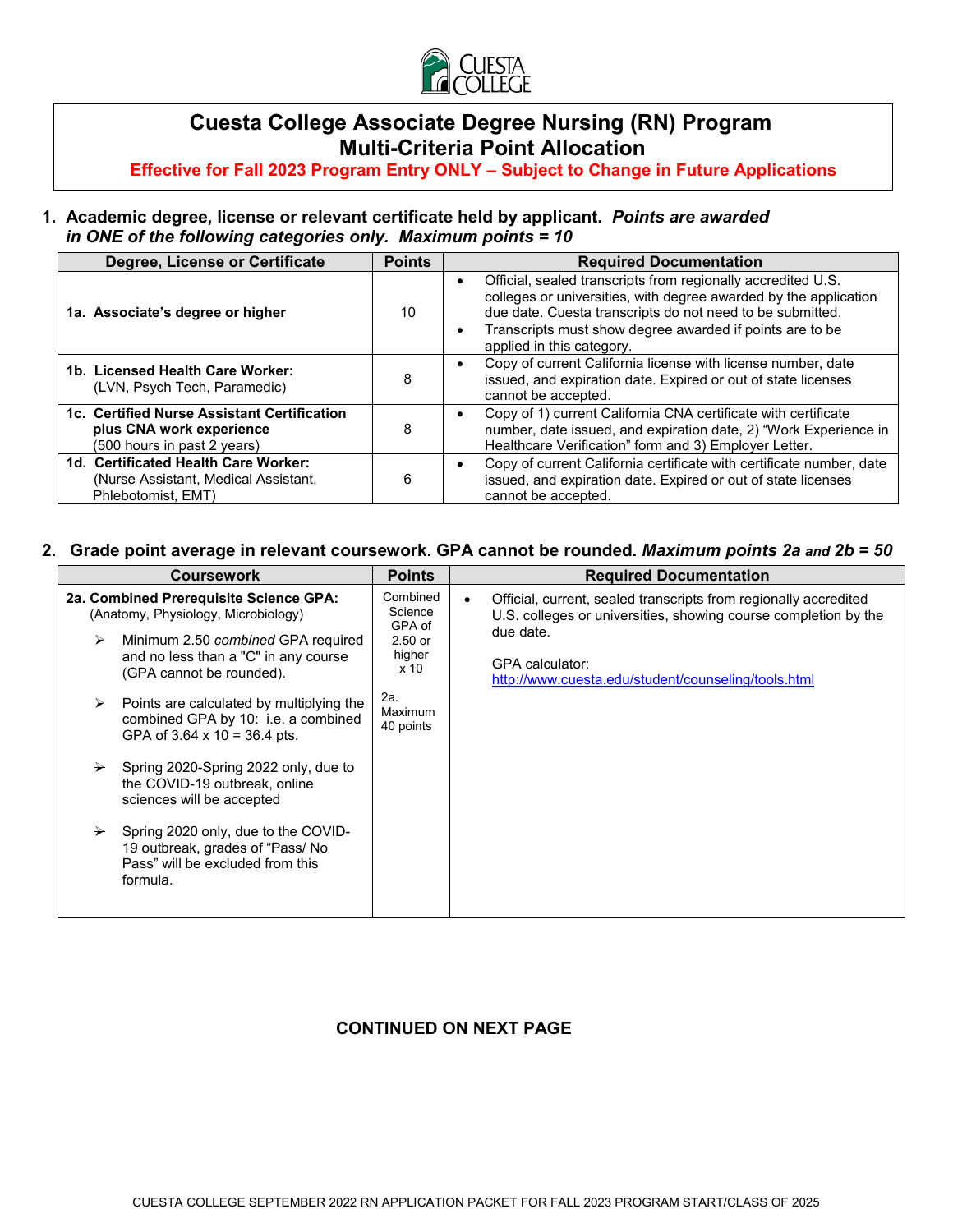

# **Cuesta College Associate Degree Nursing (RN) Program Multi-Criteria Point Allocation**

 **Effective for Fall 2023 Program Entry ONLY – Subject to Change in Future Applications**

### **1. Academic degree, license or relevant certificate held by applicant.** *Points are awarded in ONE of the following categories only. Maximum points = 10*

| Degree, License or Certificate                                                                         | <b>Points</b> | <b>Required Documentation</b>                                                                                                                                                                                                                                                          |
|--------------------------------------------------------------------------------------------------------|---------------|----------------------------------------------------------------------------------------------------------------------------------------------------------------------------------------------------------------------------------------------------------------------------------------|
| 1a. Associate's degree or higher                                                                       | 10            | Official, sealed transcripts from regionally accredited U.S.<br>colleges or universities, with degree awarded by the application<br>due date. Cuesta transcripts do not need to be submitted.<br>Transcripts must show degree awarded if points are to be<br>applied in this category. |
| 1b. Licensed Health Care Worker:<br>(LVN, Psych Tech, Paramedic)                                       | 8             | Copy of current California license with license number, date<br>issued, and expiration date. Expired or out of state licenses<br>cannot be accepted.                                                                                                                                   |
| 1c. Certified Nurse Assistant Certification<br>plus CNA work experience<br>(500 hours in past 2 years) | 8             | Copy of 1) current California CNA certificate with certificate<br>number, date issued, and expiration date, 2) "Work Experience in<br>Healthcare Verification" form and 3) Employer Letter.                                                                                            |
| 1d. Certificated Health Care Worker:<br>(Nurse Assistant, Medical Assistant,<br>Phlebotomist, EMT)     | 6             | Copy of current California certificate with certificate number, date<br>issued, and expiration date. Expired or out of state licenses<br>cannot be accepted.                                                                                                                           |

### **2. Grade point average in relevant coursework. GPA cannot be rounded.** *Maximum points 2a and 2b = 50*

| <b>Coursework</b>                                                                                                                                                                                                                                                                                                                                                                                                                                                                                                                                                                  | <b>Points</b>                                                                                          | <b>Required Documentation</b>                                                                                                                                                                                                                  |
|------------------------------------------------------------------------------------------------------------------------------------------------------------------------------------------------------------------------------------------------------------------------------------------------------------------------------------------------------------------------------------------------------------------------------------------------------------------------------------------------------------------------------------------------------------------------------------|--------------------------------------------------------------------------------------------------------|------------------------------------------------------------------------------------------------------------------------------------------------------------------------------------------------------------------------------------------------|
| 2a. Combined Prerequisite Science GPA:<br>(Anatomy, Physiology, Microbiology)<br>Minimum 2.50 combined GPA required<br>≻<br>and no less than a "C" in any course<br>(GPA cannot be rounded).<br>Points are calculated by multiplying the<br>➤<br>combined GPA by 10: i.e. a combined<br>GPA of $3.64 \times 10 = 36.4$ pts.<br>Spring 2020-Spring 2022 only, due to<br>≻<br>the COVID-19 outbreak, online<br>sciences will be accepted<br>Spring 2020 only, due to the COVID-<br>$\rightarrow$<br>19 outbreak, grades of "Pass/ No<br>Pass" will be excluded from this<br>formula. | Combined<br>Science<br>GPA of<br>$2.50$ or<br>higher<br>x <sub>10</sub><br>2a.<br>Maximum<br>40 points | Official, current, sealed transcripts from regionally accredited<br>$\bullet$<br>U.S. colleges or universities, showing course completion by the<br>due date.<br><b>GPA</b> calculator:<br>http://www.cuesta.edu/student/counseling/tools.html |
|                                                                                                                                                                                                                                                                                                                                                                                                                                                                                                                                                                                    |                                                                                                        |                                                                                                                                                                                                                                                |

### **CONTINUED ON NEXT PAGE**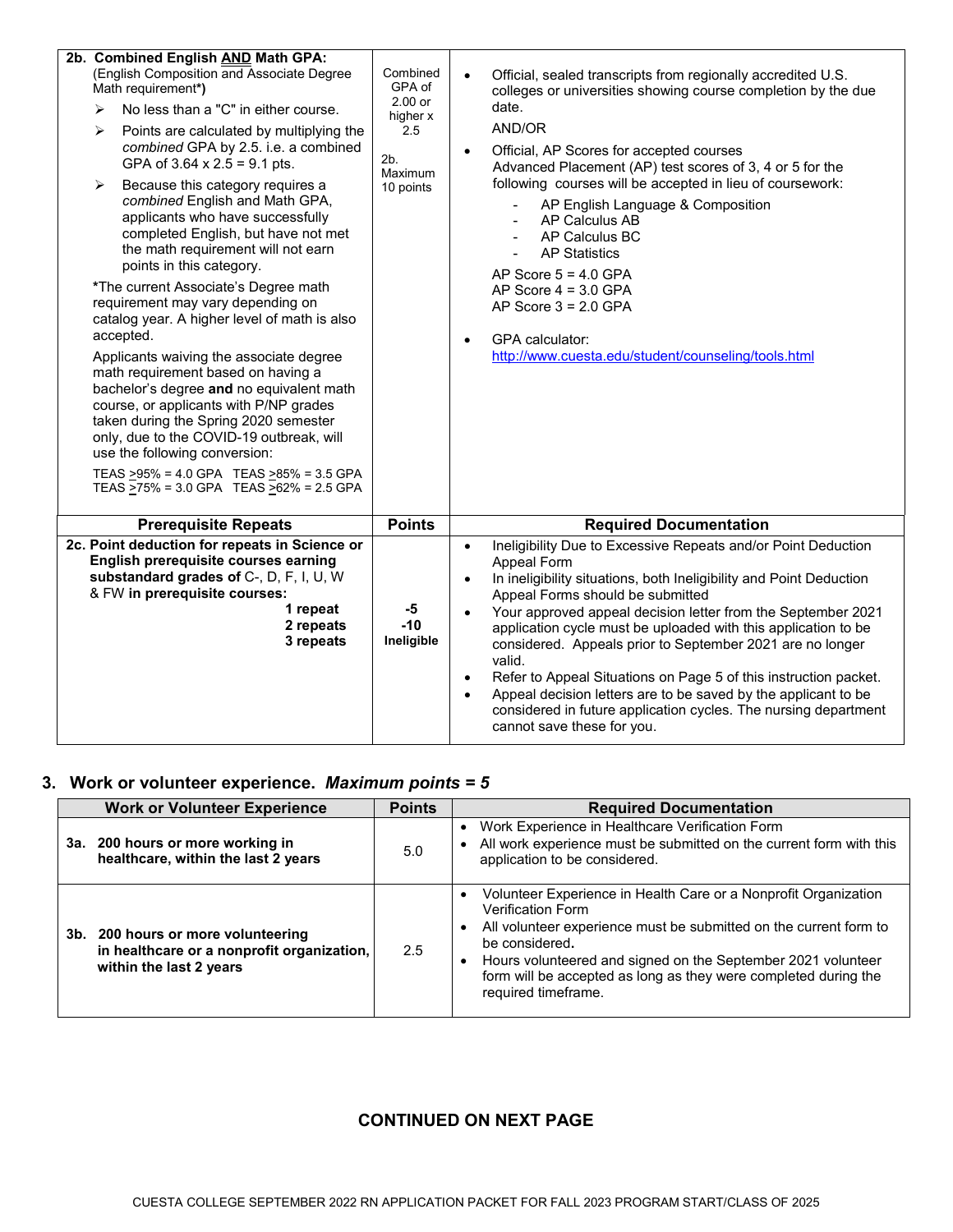| 2b. Combined English AND Math GPA:<br>(English Composition and Associate Degree<br>Math requirement*)<br>No less than a "C" in either course.<br>⋗<br>⋗<br>Points are calculated by multiplying the<br>combined GPA by 2.5. i.e. a combined<br>GPA of $3.64 \times 2.5 = 9.1$ pts.<br>Because this category requires a<br>➤<br>combined English and Math GPA,<br>applicants who have successfully<br>completed English, but have not met<br>the math requirement will not earn<br>points in this category.<br>*The current Associate's Degree math<br>requirement may vary depending on<br>catalog year. A higher level of math is also<br>accepted.<br>Applicants waiving the associate degree<br>math requirement based on having a<br>bachelor's degree and no equivalent math<br>course, or applicants with P/NP grades<br>taken during the Spring 2020 semester<br>only, due to the COVID-19 outbreak, will<br>use the following conversion:<br>TEAS >95% = 4.0 GPA TEAS >85% = 3.5 GPA<br>TEAS >75% = 3.0 GPA TEAS >62% = 2.5 GPA | Combined<br>GPA of<br>$2.00$ or<br>higher x<br>2.5<br>2b.<br>Maximum<br>10 points | Official, sealed transcripts from regionally accredited U.S.<br>$\bullet$<br>colleges or universities showing course completion by the due<br>date.<br>AND/OR<br>Official, AP Scores for accepted courses<br>Advanced Placement (AP) test scores of 3, 4 or 5 for the<br>following courses will be accepted in lieu of coursework:<br>AP English Language & Composition<br><b>AP Calculus AB</b><br>AP Calculus BC<br><b>AP Statistics</b><br>AP Score $5 = 4.0$ GPA<br>AP Score $4 = 3.0$ GPA<br>AP Score $3 = 2.0$ GPA<br><b>GPA</b> calculator:<br>$\bullet$<br>http://www.cuesta.edu/student/counseling/tools.html                                                                                   |
|-----------------------------------------------------------------------------------------------------------------------------------------------------------------------------------------------------------------------------------------------------------------------------------------------------------------------------------------------------------------------------------------------------------------------------------------------------------------------------------------------------------------------------------------------------------------------------------------------------------------------------------------------------------------------------------------------------------------------------------------------------------------------------------------------------------------------------------------------------------------------------------------------------------------------------------------------------------------------------------------------------------------------------------------|-----------------------------------------------------------------------------------|----------------------------------------------------------------------------------------------------------------------------------------------------------------------------------------------------------------------------------------------------------------------------------------------------------------------------------------------------------------------------------------------------------------------------------------------------------------------------------------------------------------------------------------------------------------------------------------------------------------------------------------------------------------------------------------------------------|
| <b>Prerequisite Repeats</b>                                                                                                                                                                                                                                                                                                                                                                                                                                                                                                                                                                                                                                                                                                                                                                                                                                                                                                                                                                                                             | <b>Points</b>                                                                     | <b>Required Documentation</b>                                                                                                                                                                                                                                                                                                                                                                                                                                                                                                                                                                                                                                                                            |
| 2c. Point deduction for repeats in Science or<br>English prerequisite courses earning<br>substandard grades of C-, D, F, I, U, W<br>& FW in prerequisite courses:<br>1 repeat<br>2 repeats<br>3 repeats                                                                                                                                                                                                                                                                                                                                                                                                                                                                                                                                                                                                                                                                                                                                                                                                                                 | -5<br>$-10$<br>Ineligible                                                         | Ineligibility Due to Excessive Repeats and/or Point Deduction<br>$\bullet$<br>Appeal Form<br>In ineligibility situations, both Ineligibility and Point Deduction<br>$\bullet$<br>Appeal Forms should be submitted<br>Your approved appeal decision letter from the September 2021<br>$\bullet$<br>application cycle must be uploaded with this application to be<br>considered. Appeals prior to September 2021 are no longer<br>valid.<br>Refer to Appeal Situations on Page 5 of this instruction packet.<br>$\bullet$<br>Appeal decision letters are to be saved by the applicant to be<br>$\bullet$<br>considered in future application cycles. The nursing department<br>cannot save these for you. |

# **3. Work or volunteer experience.** *Maximum points = 5*

| <b>Work or Volunteer Experience</b>                                                                         | <b>Points</b> | <b>Required Documentation</b>                                                                                                                                                                                                                                                                                                                |
|-------------------------------------------------------------------------------------------------------------|---------------|----------------------------------------------------------------------------------------------------------------------------------------------------------------------------------------------------------------------------------------------------------------------------------------------------------------------------------------------|
| 3a. 200 hours or more working in<br>healthcare, within the last 2 years                                     | 5.0           | Work Experience in Healthcare Verification Form<br>• All work experience must be submitted on the current form with this<br>application to be considered.                                                                                                                                                                                    |
| 3b. 200 hours or more volunteering<br>in healthcare or a nonprofit organization,<br>within the last 2 years | 2.5           | Volunteer Experience in Health Care or a Nonprofit Organization<br><b>Verification Form</b><br>All volunteer experience must be submitted on the current form to<br>be considered.<br>Hours volunteered and signed on the September 2021 volunteer<br>form will be accepted as long as they were completed during the<br>required timeframe. |

# **CONTINUED ON NEXT PAGE**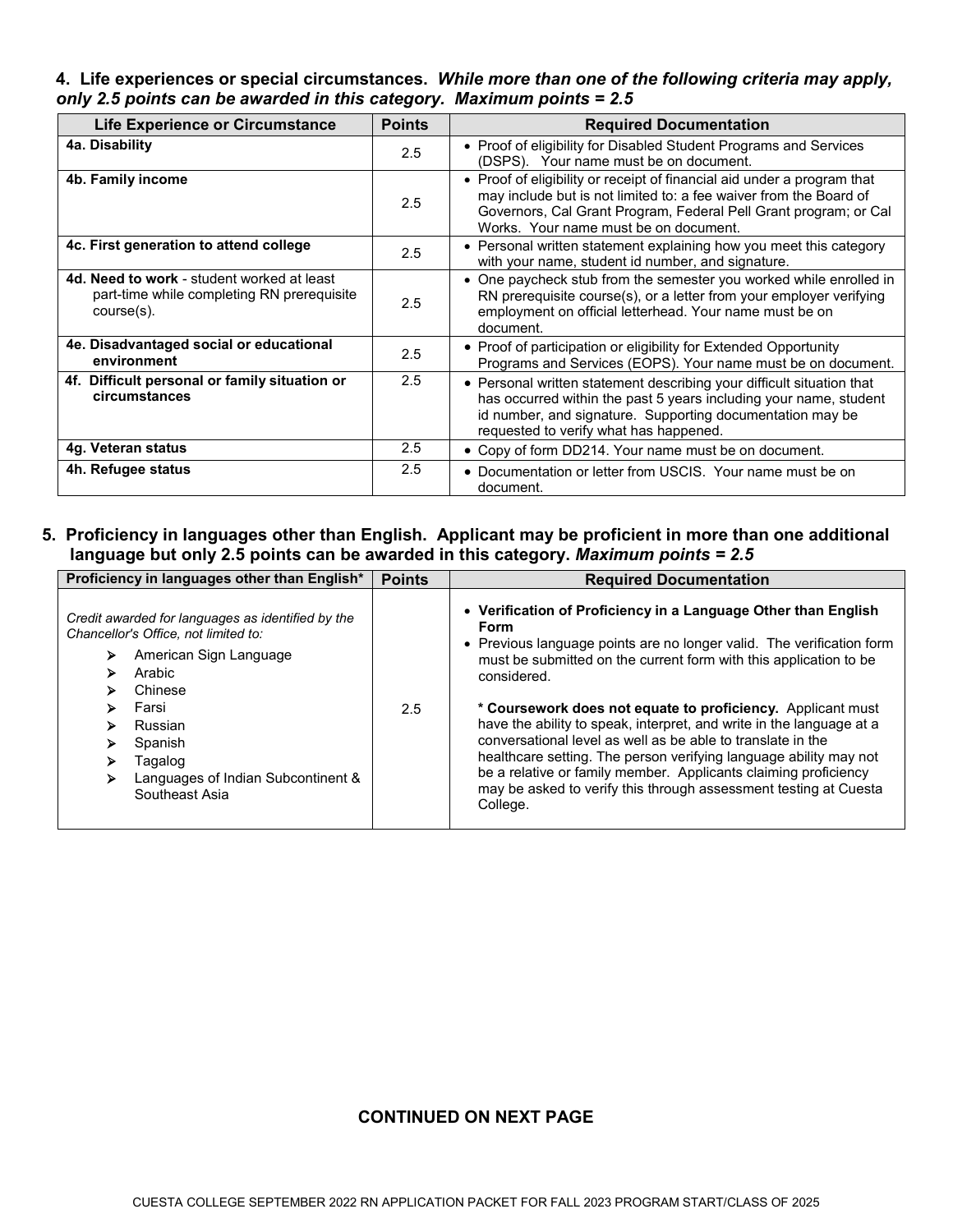#### **4. Life experiences or special circumstances.** *While more than one of the following criteria may apply, only 2.5 points can be awarded in this category. Maximum points = 2.5*

| <b>Life Experience or Circumstance</b>                                                                 | <b>Points</b> | <b>Required Documentation</b>                                                                                                                                                                                                                             |
|--------------------------------------------------------------------------------------------------------|---------------|-----------------------------------------------------------------------------------------------------------------------------------------------------------------------------------------------------------------------------------------------------------|
| 4a. Disability                                                                                         | 2.5           | • Proof of eligibility for Disabled Student Programs and Services<br>(DSPS). Your name must be on document.                                                                                                                                               |
| 4b. Family income                                                                                      | 2.5           | • Proof of eligibility or receipt of financial aid under a program that<br>may include but is not limited to: a fee waiver from the Board of<br>Governors, Cal Grant Program, Federal Pell Grant program; or Cal<br>Works. Your name must be on document. |
| 4c. First generation to attend college                                                                 | 2.5           | • Personal written statement explaining how you meet this category<br>with your name, student id number, and signature.                                                                                                                                   |
| 4d. Need to work - student worked at least<br>part-time while completing RN prerequisite<br>course(s). | 2.5           | • One paycheck stub from the semester you worked while enrolled in<br>RN prerequisite course(s), or a letter from your employer verifying<br>employment on official letterhead. Your name must be on<br>document.                                         |
| 4e. Disadvantaged social or educational<br>environment                                                 | 2.5           | • Proof of participation or eligibility for Extended Opportunity<br>Programs and Services (EOPS). Your name must be on document.                                                                                                                          |
| 4f. Difficult personal or family situation or<br>circumstances                                         | 2.5           | • Personal written statement describing your difficult situation that<br>has occurred within the past 5 years including your name, student<br>id number, and signature. Supporting documentation may be<br>requested to verify what has happened.         |
| 4g. Veteran status                                                                                     | 2.5           | • Copy of form DD214. Your name must be on document.                                                                                                                                                                                                      |
| 4h. Refugee status                                                                                     | 2.5           | • Documentation or letter from USCIS. Your name must be on<br>document.                                                                                                                                                                                   |

### **5. Proficiency in languages other than English. Applicant may be proficient in more than one additional language but only 2.5 points can be awarded in this category.** *Maximum points = 2.5*

| Proficiency in languages other than English*                                                                                                                                                                                                                                       | <b>Points</b> | <b>Required Documentation</b>                                                                                                                                                                                                                                                                                                                                                                                                                                                                                                                                                                                                                                     |
|------------------------------------------------------------------------------------------------------------------------------------------------------------------------------------------------------------------------------------------------------------------------------------|---------------|-------------------------------------------------------------------------------------------------------------------------------------------------------------------------------------------------------------------------------------------------------------------------------------------------------------------------------------------------------------------------------------------------------------------------------------------------------------------------------------------------------------------------------------------------------------------------------------------------------------------------------------------------------------------|
| Credit awarded for languages as identified by the<br>Chancellor's Office, not limited to:<br>American Sign Language<br>⋗<br>Arabic<br>⋗<br>Chinese<br>⋗<br>Farsi<br>⋗<br>Russian<br>⋗<br>Spanish<br>⋗<br>Tagalog<br>⋗<br>Languages of Indian Subcontinent &<br>⋗<br>Southeast Asia | 2.5           | • Verification of Proficiency in a Language Other than English<br>Form<br>• Previous language points are no longer valid. The verification form<br>must be submitted on the current form with this application to be<br>considered.<br>* Coursework does not equate to proficiency. Applicant must<br>have the ability to speak, interpret, and write in the language at a<br>conversational level as well as be able to translate in the<br>healthcare setting. The person verifying language ability may not<br>be a relative or family member. Applicants claiming proficiency<br>may be asked to verify this through assessment testing at Cuesta<br>College. |

#### **CONTINUED ON NEXT PAGE**